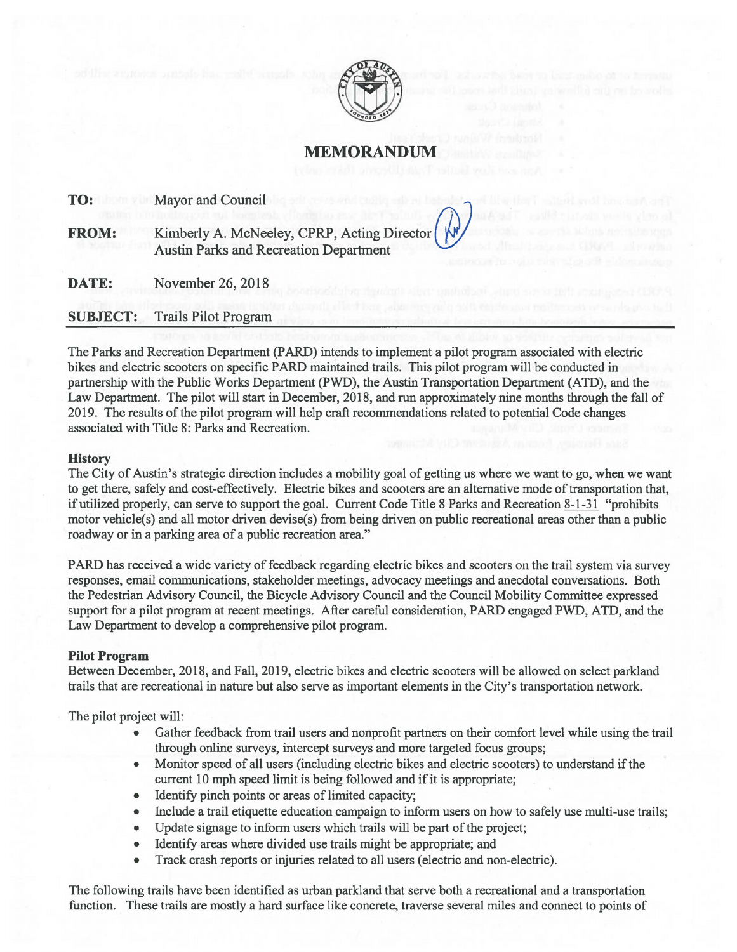

**MEMORANDUM** 

**TO:** Mayor and Council

Kimberly A. McNeeley, CPRP, Acting Director Austin Parks and Recreation Department **FROM:** 

**DATE:** November 26, 2018

**SUBJECT:** Trails Pilot Program

The Parks and Recreation Department (PARD) intends to implement a pilot program associated with electric bikes and electric scooters on specific PARD maintained trails. This pilot program will be conducted in partnership with the Public Works Department (PWD), the Austin Transportation Department (ATD), and the Law Department. The pilot will start in December, 2018, and run approximately nine months through the fall of 2019. The results of the pilot program will help craft recommendations related to potential Code changes associated with Title 8: Parks and Recreation.

## **History**

The City of Austin's strategic direction includes a mobility goal of getting us where we want to go, when we want to get there, safely and cost-effectively. Electric bikes and scooters are an alternative mode of transportation that, if utilized properly, can serve to support the goal. Current Code Title 8 Parks and Recreation 8-1-31 "prohibits motor vehicle(s) and all motor driven devise(s) from being driven on public recreational areas other than a public roadway or in a parking area of a public recreation area."

PARD has received a wide variety of feedback regarding electric bikes and scooters on the trail system via survey responses, email communications, stakeholder meetings, advocacy meetings and anecdotal conversations. Both the Pedestrian Advisory Council, the Bicycle Advisory Council and the Council Mobility Committee expressed support for a pilot program at recent meetings. After careful consideration, PARD engaged PWD, ATD, and the Law Department to develop a comprehensive pilot program.

## **Pilot Program**

Between December, 2018, and Fall, 2019, electric bikes and electric scooters will be allowed on select parkland trails that are recreational in nature but also serve as important elements in the City's transportation network.

The pilot project will:

- Gather feedback from trail users and nonprofit partners on their comfort level while using the trail through online surveys, intercept surveys and more targeted focus groups;
- Monitor speed of all users (including electric bikes and electric scooters) to understand if the current 10 mph speed limit is being followed and if it is appropriate;
- Identify pinch points or areas of limited capacity;
- Include a trail etiquette education campaign to inform users on how to safely use multi-use trails;
- Update signage to inform users which trails will be part of the project;
- Identify areas where divided use trails might be appropriate; and
- Track crash reports or injuries related to all users (electric and non-electric).

The following trails have been identified as urban parkland that serve both a recreational and a transportation function. These trails are mostly a hard surface like concrete, traverse several miles and connect to points of